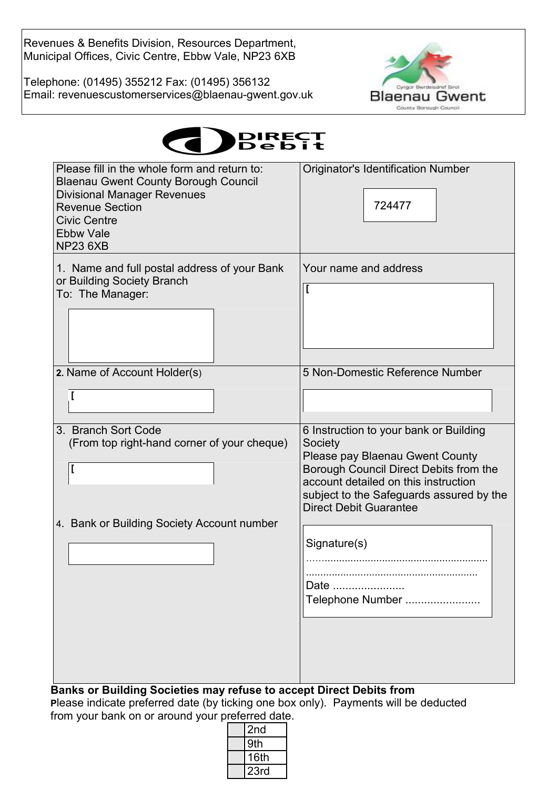Revenues & Benefits Division, Resources Department, Municipal Offices, Civic Centre, Ebbw Vale, NP23 6XB

Telephone: (01495) 355212 Fax: (01495) 356132 Email: revenuescustomerservices@blaenau-gwent.gov.uk



| <b>IDIRECT</b><br><b>Debit</b> |
|--------------------------------|
|--------------------------------|

| Please fill in the whole form and return to:                                      | <b>Originator's Identification Number</b>                                 |
|-----------------------------------------------------------------------------------|---------------------------------------------------------------------------|
| <b>Blaenau Gwent County Borough Council</b><br><b>Divisional Manager Revenues</b> |                                                                           |
| <b>Revenue Section</b>                                                            | 724477                                                                    |
| <b>Civic Centre</b><br><b>Ebbw Vale</b>                                           |                                                                           |
| <b>NP23 6XB</b>                                                                   |                                                                           |
| 1. Name and full postal address of your Bank                                      | Your name and address                                                     |
| or Building Society Branch<br>To: The Manager:                                    |                                                                           |
|                                                                                   |                                                                           |
|                                                                                   |                                                                           |
|                                                                                   |                                                                           |
| 2. Name of Account Holder(s)                                                      | 5 Non-Domestic Reference Number                                           |
|                                                                                   |                                                                           |
| ſ                                                                                 |                                                                           |
| 3. Branch Sort Code                                                               | 6 Instruction to your bank or Building                                    |
| (From top right-hand corner of your cheque)                                       | Society                                                                   |
| I                                                                                 | Please pay Blaenau Gwent County<br>Borough Council Direct Debits from the |
|                                                                                   | account detailed on this instruction                                      |
|                                                                                   | subject to the Safeguards assured by the<br><b>Direct Debit Guarantee</b> |
| 4. Bank or Building Society Account number                                        |                                                                           |
|                                                                                   | Signature(s)                                                              |
|                                                                                   |                                                                           |
|                                                                                   | Date                                                                      |
|                                                                                   | Telephone Number                                                          |
|                                                                                   |                                                                           |
|                                                                                   |                                                                           |
|                                                                                   |                                                                           |
|                                                                                   |                                                                           |
| Banks or Building Societies may refuse to accept Direct Debits from               |                                                                           |

**P**lease indicate preferred date (by ticking one box only). Payments will be deducted from your bank on or around your preferred date.